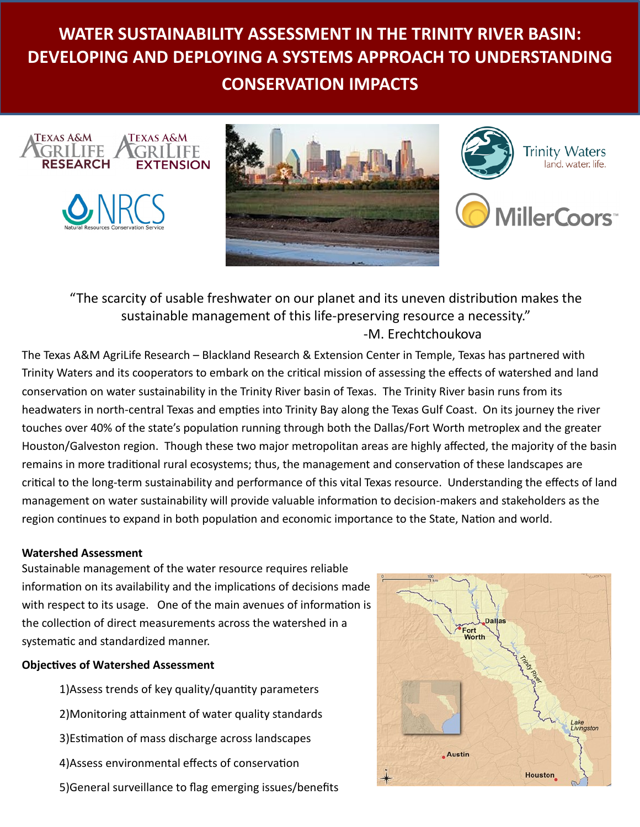# **WATER SUSTAINABILITY ASSESSMENT IN THE TRINITY RIVER BASIN: DEVELOPING AND DEPLOYING A SYSTEMS APPROACH TO UNDERSTANDING CONSERVATION IMPACTS**







## "The scarcity of usable freshwater on our planet and its uneven distribution makes the sustainable management of this life-preserving resource a necessity." -M. Erechtchoukova

The Texas A&M AgriLife Research – Blackland Research & Extension Center in Temple, Texas has partnered with Trinity Waters and its cooperators to embark on the critical mission of assessing the effects of watershed and land conservation on water sustainability in the Trinity River basin of Texas. The Trinity River basin runs from its headwaters in north-central Texas and empties into Trinity Bay along the Texas Gulf Coast. On its journey the river touches over 40% of the state's population running through both the Dallas/Fort Worth metroplex and the greater Houston/Galveston region. Though these two major metropolitan areas are highly affected, the majority of the basin remains in more traditional rural ecosystems; thus, the management and conservation of these landscapes are critical to the long-term sustainability and performance of this vital Texas resource. Understanding the effects of land management on water sustainability will provide valuable information to decision-makers and stakeholders as the region continues to expand in both population and economic importance to the State, Nation and world.

#### **Watershed Assessment**

Sustainable management of the water resource requires reliable information on its availability and the implications of decisions made with respect to its usage. One of the main avenues of information is the collection of direct measurements across the watershed in a systematic and standardized manner.

#### **Objectives of Watershed Assessment**

1)Assess trends of key quality/quantity parameters 2)Monitoring attainment of water quality standards 3)Estimation of mass discharge across landscapes 4)Assess environmental effects of conservation 5)General surveillance to flag emerging issues/benefits